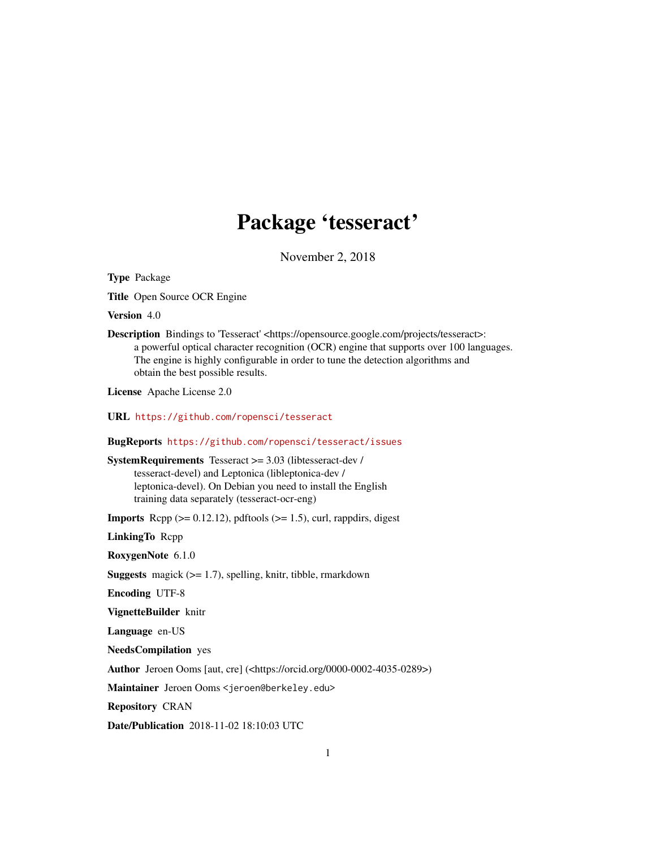## Package 'tesseract'

November 2, 2018

Type Package

Title Open Source OCR Engine

Version 4.0

Description Bindings to 'Tesseract' <https://opensource.google.com/projects/tesseract>: a powerful optical character recognition (OCR) engine that supports over 100 languages. The engine is highly configurable in order to tune the detection algorithms and obtain the best possible results.

License Apache License 2.0

URL <https://github.com/ropensci/tesseract>

#### BugReports <https://github.com/ropensci/tesseract/issues>

SystemRequirements Tesseract >= 3.03 (libtesseract-dev / tesseract-devel) and Leptonica (libleptonica-dev / leptonica-devel). On Debian you need to install the English training data separately (tesseract-ocr-eng)

**Imports** Rcpp  $(>= 0.12.12)$ , pdftools  $(>= 1.5)$ , curl, rappdirs, digest

LinkingTo Rcpp

RoxygenNote 6.1.0

**Suggests** magick  $(>= 1.7)$ , spelling, knitr, tibble, rmarkdown

Encoding UTF-8

VignetteBuilder knitr

Language en-US

NeedsCompilation yes

Author Jeroen Ooms [aut, cre] (<https://orcid.org/0000-0002-4035-0289>)

Maintainer Jeroen Ooms <jeroen@berkeley.edu>

Repository CRAN

Date/Publication 2018-11-02 18:10:03 UTC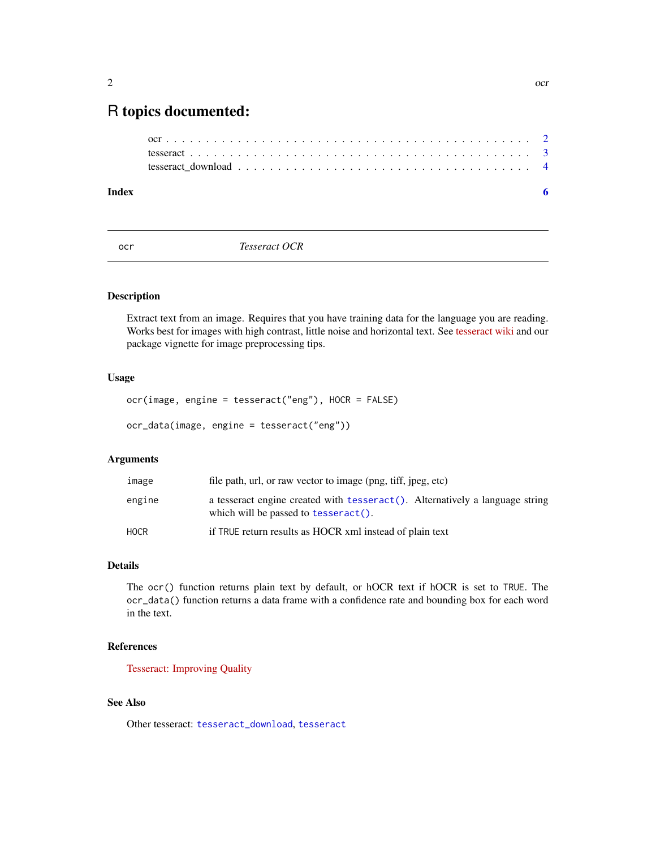### <span id="page-1-0"></span>R topics documented:

| Index |  |
|-------|--|
|       |  |
|       |  |
|       |  |

<span id="page-1-1"></span>ocr *Tesseract OCR*

#### <span id="page-1-2"></span>Description

Extract text from an image. Requires that you have training data for the language you are reading. Works best for images with high contrast, little noise and horizontal text. See [tesseract wiki](https://github.com/tesseract-ocr/tesseract/wiki/ImproveQuality) and our package vignette for image preprocessing tips.

#### Usage

ocr(image, engine = tesseract("eng"), HOCR = FALSE)

ocr\_data(image, engine = tesseract("eng"))

#### Arguments

| image  | file path, url, or raw vector to image (png, tiff, jpeg, etc)                                                         |
|--------|-----------------------------------------------------------------------------------------------------------------------|
| engine | a tesseract engine created with tesseract (). Alternatively a language string<br>which will be passed to tesseract(). |
| HOCR   | if TRUE return results as HOCR xml instead of plain text                                                              |

#### Details

The ocr() function returns plain text by default, or hOCR text if hOCR is set to TRUE. The ocr\_data() function returns a data frame with a confidence rate and bounding box for each word in the text.

#### References

[Tesseract: Improving Quality](https://github.com/tesseract-ocr/tesseract/wiki/ImproveQuality)

#### See Also

Other tesseract: [tesseract\\_download](#page-3-1), [tesseract](#page-2-1)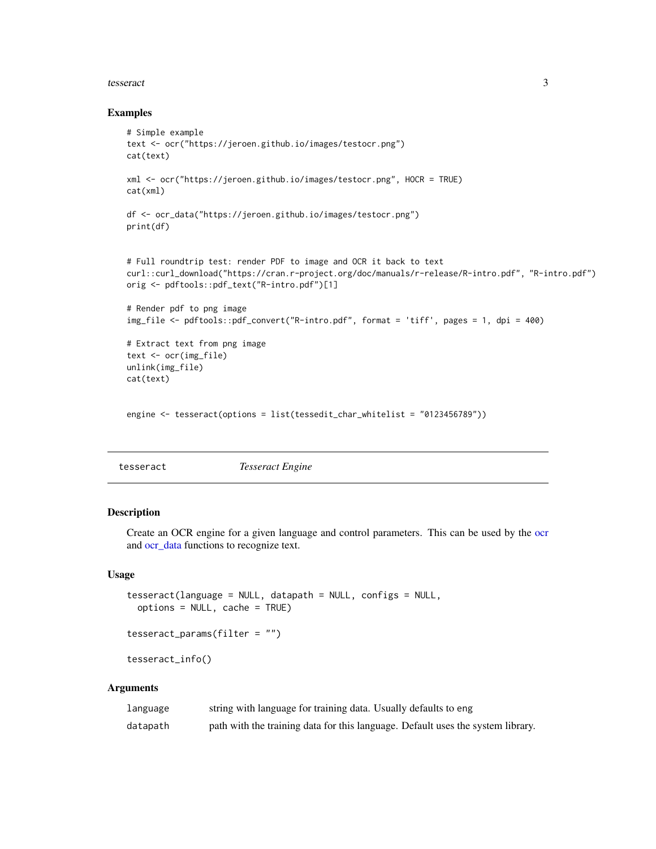#### <span id="page-2-0"></span>tesseract 3

#### Examples

```
# Simple example
text <- ocr("https://jeroen.github.io/images/testocr.png")
cat(text)
xml <- ocr("https://jeroen.github.io/images/testocr.png", HOCR = TRUE)
cat(xml)
df <- ocr_data("https://jeroen.github.io/images/testocr.png")
print(df)
# Full roundtrip test: render PDF to image and OCR it back to text
curl::curl_download("https://cran.r-project.org/doc/manuals/r-release/R-intro.pdf", "R-intro.pdf")
orig <- pdftools::pdf_text("R-intro.pdf")[1]
# Render pdf to png image
img_file <- pdftools::pdf_convert("R-intro.pdf", format = 'tiff', pages = 1, dpi = 400)
# Extract text from png image
text <- ocr(img_file)
unlink(img_file)
cat(text)
engine <- tesseract(options = list(tessedit_char_whitelist = "0123456789"))
```
<span id="page-2-1"></span>

| <b>Tesseract Engine</b><br>tesseract |
|--------------------------------------|
|--------------------------------------|

#### <span id="page-2-2"></span>Description

Create an OCR engine for a given language and control parameters. This can be used by the [ocr](#page-1-1) and [ocr\\_data](#page-1-2) functions to recognize text.

#### Usage

```
tesseract(language = NULL, datapath = NULL, configs = NULL,
 options = NULL, cache = TRUE)
tesseract_params(filter = "")
```
tesseract\_info()

#### **Arguments**

| language | string with language for training data. Usually defaults to eng                 |
|----------|---------------------------------------------------------------------------------|
| datapath | path with the training data for this language. Default uses the system library. |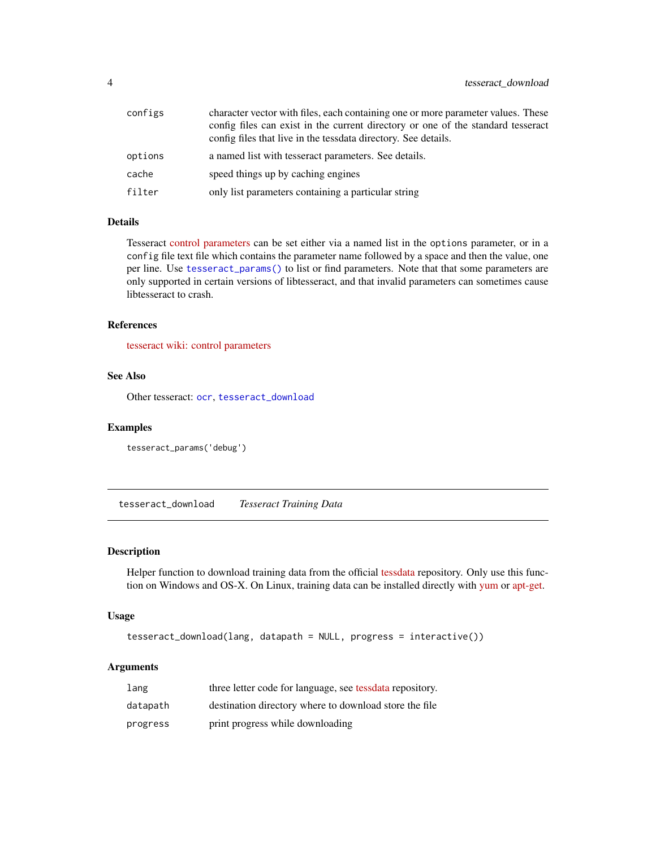<span id="page-3-0"></span>

| configs | character vector with files, each containing one or more parameter values. These<br>config files can exist in the current directory or one of the standard tesseract<br>config files that live in the tessdata directory. See details. |
|---------|----------------------------------------------------------------------------------------------------------------------------------------------------------------------------------------------------------------------------------------|
| options | a named list with tesseract parameters. See details.                                                                                                                                                                                   |
| cache   | speed things up by caching engines                                                                                                                                                                                                     |
| filter  | only list parameters containing a particular string                                                                                                                                                                                    |

#### Details

Tesseract [control parameters](https://github.com/tesseract-ocr/tesseract/wiki/ControlParams) can be set either via a named list in the options parameter, or in a config file text file which contains the parameter name followed by a space and then the value, one per line. Use [tesseract\\_params\(\)](#page-2-2) to list or find parameters. Note that that some parameters are only supported in certain versions of libtesseract, and that invalid parameters can sometimes cause libtesseract to crash.

#### References

[tesseract wiki: control parameters](https://github.com/tesseract-ocr/tesseract/wiki/ControlParams)

#### See Also

Other tesseract: [ocr](#page-1-1), [tesseract\\_download](#page-3-1)

#### Examples

tesseract\_params('debug')

<span id="page-3-1"></span>tesseract\_download *Tesseract Training Data*

#### Description

Helper function to download training data from the official [tessdata](https://github.com/tesseract-ocr/tesseract/wiki/Data-Files) repository. Only use this function on Windows and OS-X. On Linux, training data can be installed directly with [yum](https://apps.fedoraproject.org/packages/tesseract) or [apt-get.](https://packages.debian.org/search?suite=stable§ion=all&arch=any&searchon=names&keywords=tesseract-ocr-)

#### Usage

```
tesseract_download(lang, datapath = NULL, progress = interactive())
```
#### Arguments

| lang     | three letter code for language, see tessdata repository. |
|----------|----------------------------------------------------------|
| datapath | destination directory where to download store the file   |
| progress | print progress while downloading                         |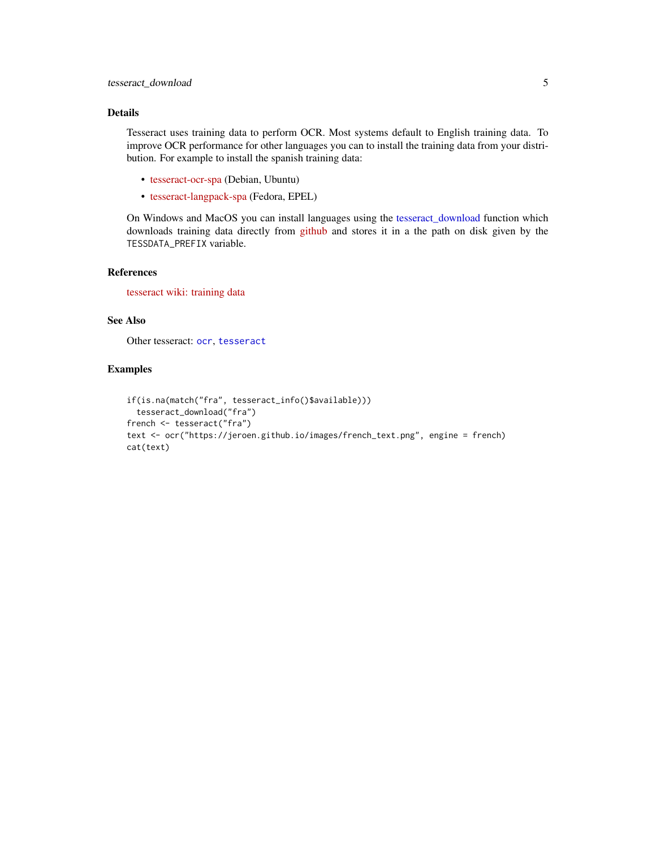#### <span id="page-4-0"></span>Details

Tesseract uses training data to perform OCR. Most systems default to English training data. To improve OCR performance for other languages you can to install the training data from your distribution. For example to install the spanish training data:

- [tesseract-ocr-spa](https://packages.debian.org/testing/tesseract-ocr-spa) (Debian, Ubuntu)
- [tesseract-langpack-spa](https://apps.fedoraproject.org/packages/tesseract-langpack-spa) (Fedora, EPEL)

On Windows and MacOS you can install languages using the [tesseract\\_download](#page-3-1) function which downloads training data directly from [github](https://github.com/tesseract-ocr/tessdata) and stores it in a the path on disk given by the TESSDATA\_PREFIX variable.

#### References

[tesseract wiki: training data](https://github.com/tesseract-ocr/tesseract/wiki/Data-Files)

#### See Also

Other tesseract: [ocr](#page-1-1), [tesseract](#page-2-1)

#### Examples

```
if(is.na(match("fra", tesseract_info()$available)))
 tesseract_download("fra")
french <- tesseract("fra")
text <- ocr("https://jeroen.github.io/images/french_text.png", engine = french)
cat(text)
```